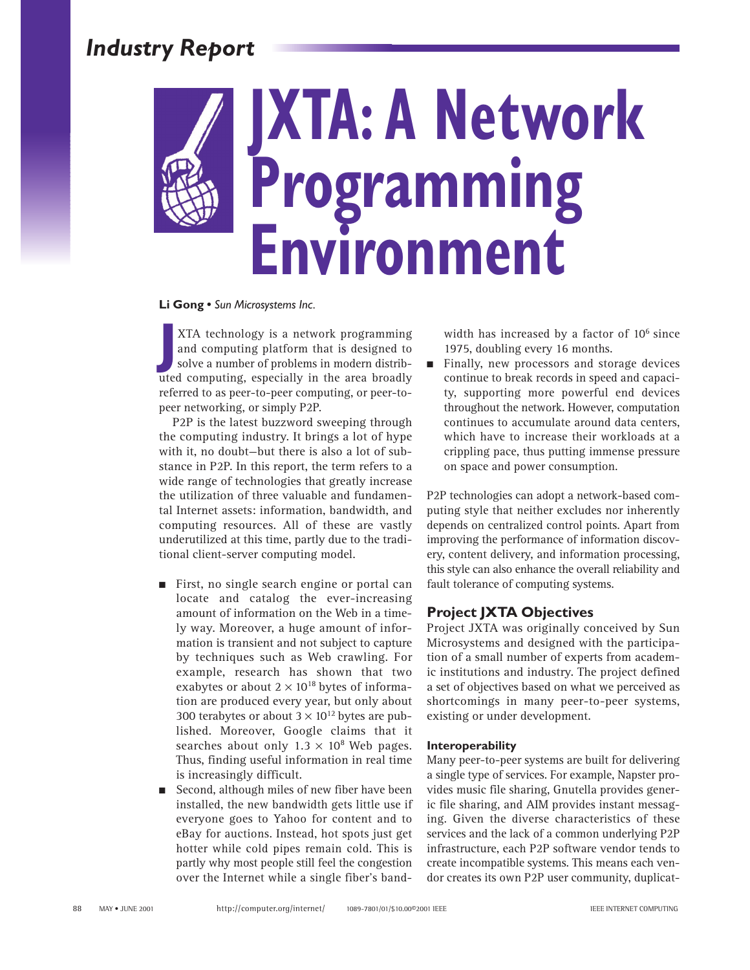# *Industry Report*



#### **Li Gong •** *Sun Microsystems Inc.*

**J** XTA technology is a network programming and computing platform that is designed to solve a number of problems in modern distributed computing, especially in the area broadly referred to as peer-to-peer computing, or peer-topeer networking, or simply P2P.

P2P is the latest buzzword sweeping through the computing industry. It brings a lot of hype with it, no doubt—but there is also a lot of substance in P2P. In this report, the term refers to a wide range of technologies that greatly increase the utilization of three valuable and fundamental Internet assets: information, bandwidth, and computing resources. All of these are vastly underutilized at this time, partly due to the traditional client-server computing model.

- First, no single search engine or portal can locate and catalog the ever-increasing amount of information on the Web in a timely way. Moreover, a huge amount of information is transient and not subject to capture by techniques such as Web crawling. For example, research has shown that two exabytes or about  $2 \times 10^{18}$  bytes of information are produced every year, but only about 300 terabytes or about  $3 \times 10^{12}$  bytes are published. Moreover, Google claims that it searches about only  $1.3 \times 10^8$  Web pages. Thus, finding useful information in real time is increasingly difficult.
- Second, although miles of new fiber have been installed, the new bandwidth gets little use if everyone goes to Yahoo for content and to eBay for auctions. Instead, hot spots just get hotter while cold pipes remain cold. This is partly why most people still feel the congestion over the Internet while a single fiber's band-

width has increased by a factor of  $10<sup>6</sup>$  since 1975, doubling every 16 months.

■ Finally, new processors and storage devices continue to break records in speed and capacity, supporting more powerful end devices throughout the network. However, computation continues to accumulate around data centers, which have to increase their workloads at a crippling pace, thus putting immense pressure on space and power consumption.

P2P technologies can adopt a network-based computing style that neither excludes nor inherently depends on centralized control points. Apart from improving the performance of information discovery, content delivery, and information processing, this style can also enhance the overall reliability and fault tolerance of computing systems.

# **Project JXTA Objectives**

Project JXTA was originally conceived by Sun Microsystems and designed with the participation of a small number of experts from academic institutions and industry. The project defined a set of objectives based on what we perceived as shortcomings in many peer-to-peer systems, existing or under development.

#### **Interoperability**

Many peer-to-peer systems are built for delivering a single type of services. For example, Napster provides music file sharing, Gnutella provides generic file sharing, and AIM provides instant messaging. Given the diverse characteristics of these services and the lack of a common underlying P2P infrastructure, each P2P software vendor tends to create incompatible systems. This means each vendor creates its own P2P user community, duplicat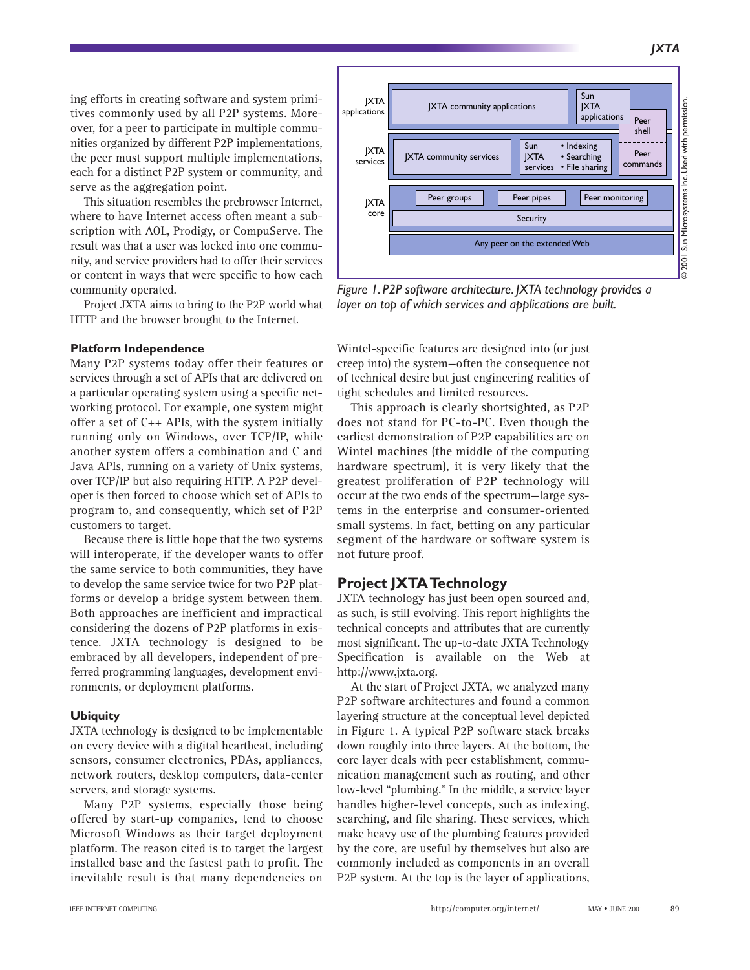ing efforts in creating software and system primitives commonly used by all P2P systems. Moreover, for a peer to participate in multiple communities organized by different P2P implementations, the peer must support multiple implementations, each for a distinct P2P system or community, and serve as the aggregation point.

This situation resembles the prebrowser Internet, where to have Internet access often meant a subscription with AOL, Prodigy, or CompuServe. The result was that a user was locked into one community, and service providers had to offer their services or content in ways that were specific to how each community operated.

Project JXTA aims to bring to the P2P world what HTTP and the browser brought to the Internet.

#### **Platform Independence**

Many P2P systems today offer their features or services through a set of APIs that are delivered on a particular operating system using a specific networking protocol. For example, one system might offer a set of C++ APIs, with the system initially running only on Windows, over TCP/IP, while another system offers a combination and C and Java APIs, running on a variety of Unix systems, over TCP/IP but also requiring HTTP. A P2P developer is then forced to choose which set of APIs to program to, and consequently, which set of P2P customers to target.

Because there is little hope that the two systems will interoperate, if the developer wants to offer the same service to both communities, they have to develop the same service twice for two P2P platforms or develop a bridge system between them. Both approaches are inefficient and impractical considering the dozens of P2P platforms in existence. JXTA technology is designed to be embraced by all developers, independent of preferred programming languages, development environments, or deployment platforms.

#### **Ubiquity**

JXTA technology is designed to be implementable on every device with a digital heartbeat, including sensors, consumer electronics, PDAs, appliances, network routers, desktop computers, data-center servers, and storage systems.

Many P2P systems, especially those being offered by start-up companies, tend to choose Microsoft Windows as their target deployment platform. The reason cited is to target the largest installed base and the fastest path to profit. The inevitable result is that many dependencies on



*Figure 1. P2P software architecture. JXTA technology provides a layer on top of which services and applications are built.*

Wintel-specific features are designed into (or just creep into) the system—often the consequence not of technical desire but just engineering realities of tight schedules and limited resources.

This approach is clearly shortsighted, as P2P does not stand for PC-to-PC. Even though the earliest demonstration of P2P capabilities are on Wintel machines (the middle of the computing hardware spectrum), it is very likely that the greatest proliferation of P2P technology will occur at the two ends of the spectrum—large systems in the enterprise and consumer-oriented small systems. In fact, betting on any particular segment of the hardware or software system is not future proof.

# **Project JXTA Technology**

JXTA technology has just been open sourced and, as such, is still evolving. This report highlights the technical concepts and attributes that are currently most significant. The up-to-date JXTA Technology Specification is available on the Web at http://www.jxta.org.

At the start of Project JXTA, we analyzed many P2P software architectures and found a common layering structure at the conceptual level depicted in Figure 1. A typical P2P software stack breaks down roughly into three layers. At the bottom, the core layer deals with peer establishment, communication management such as routing, and other low-level "plumbing." In the middle, a service layer handles higher-level concepts, such as indexing, searching, and file sharing. These services, which make heavy use of the plumbing features provided by the core, are useful by themselves but also are commonly included as components in an overall P2P system. At the top is the layer of applications,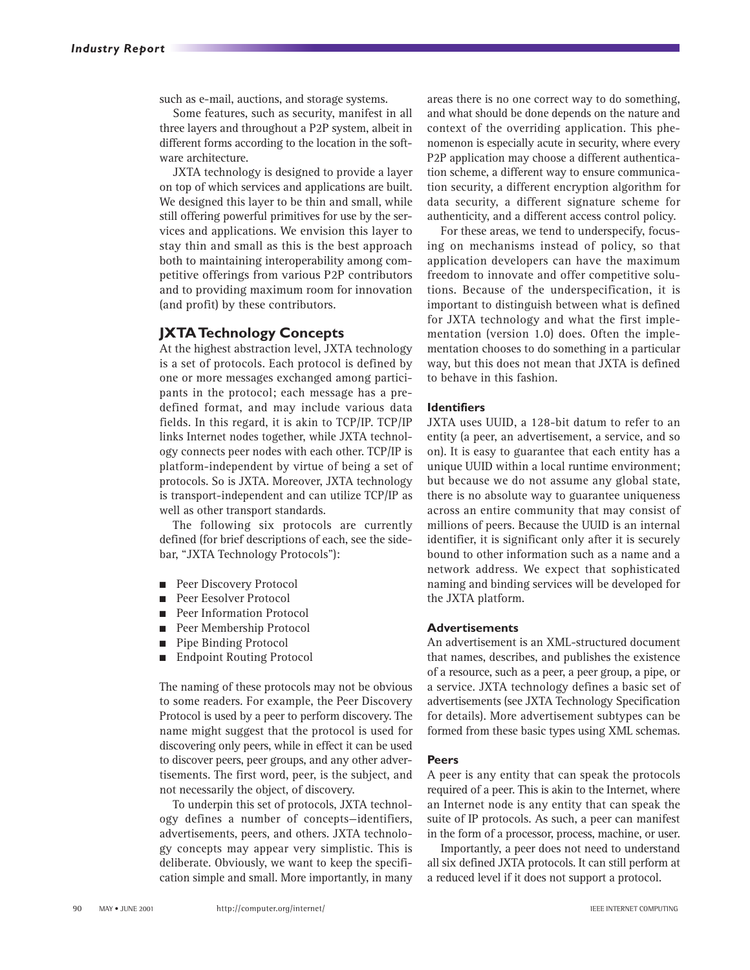such as e-mail, auctions, and storage systems.

Some features, such as security, manifest in all three layers and throughout a P2P system, albeit in different forms according to the location in the software architecture.

JXTA technology is designed to provide a layer on top of which services and applications are built. We designed this layer to be thin and small, while still offering powerful primitives for use by the services and applications. We envision this layer to stay thin and small as this is the best approach both to maintaining interoperability among competitive offerings from various P2P contributors and to providing maximum room for innovation (and profit) by these contributors.

# **JXTA Technology Concepts**

At the highest abstraction level, JXTA technology is a set of protocols. Each protocol is defined by one or more messages exchanged among participants in the protocol; each message has a predefined format, and may include various data fields. In this regard, it is akin to TCP/IP. TCP/IP links Internet nodes together, while JXTA technology connects peer nodes with each other. TCP/IP is platform-independent by virtue of being a set of protocols. So is JXTA. Moreover, JXTA technology is transport-independent and can utilize TCP/IP as well as other transport standards.

The following six protocols are currently defined (for brief descriptions of each, see the sidebar, "JXTA Technology Protocols"):

- Peer Discovery Protocol
- Peer Eesolver Protocol
- Peer Information Protocol
- Peer Membership Protocol
- Pipe Binding Protocol
- Endpoint Routing Protocol

The naming of these protocols may not be obvious to some readers. For example, the Peer Discovery Protocol is used by a peer to perform discovery. The name might suggest that the protocol is used for discovering only peers, while in effect it can be used to discover peers, peer groups, and any other advertisements. The first word, peer, is the subject, and not necessarily the object, of discovery.

To underpin this set of protocols, JXTA technology defines a number of concepts—identifiers, advertisements, peers, and others. JXTA technology concepts may appear very simplistic. This is deliberate. Obviously, we want to keep the specification simple and small. More importantly, in many

areas there is no one correct way to do something, and what should be done depends on the nature and context of the overriding application. This phenomenon is especially acute in security, where every P2P application may choose a different authentication scheme, a different way to ensure communication security, a different encryption algorithm for data security, a different signature scheme for authenticity, and a different access control policy.

For these areas, we tend to underspecify, focusing on mechanisms instead of policy, so that application developers can have the maximum freedom to innovate and offer competitive solutions. Because of the underspecification, it is important to distinguish between what is defined for JXTA technology and what the first implementation (version 1.0) does. Often the implementation chooses to do something in a particular way, but this does not mean that JXTA is defined to behave in this fashion.

#### **Identifiers**

JXTA uses UUID, a 128-bit datum to refer to an entity (a peer, an advertisement, a service, and so on). It is easy to guarantee that each entity has a unique UUID within a local runtime environment; but because we do not assume any global state, there is no absolute way to guarantee uniqueness across an entire community that may consist of millions of peers. Because the UUID is an internal identifier, it is significant only after it is securely bound to other information such as a name and a network address. We expect that sophisticated naming and binding services will be developed for the JXTA platform.

# **Advertisements**

An advertisement is an XML-structured document that names, describes, and publishes the existence of a resource, such as a peer, a peer group, a pipe, or a service. JXTA technology defines a basic set of advertisements (see JXTA Technology Specification for details). More advertisement subtypes can be formed from these basic types using XML schemas.

#### **Peers**

A peer is any entity that can speak the protocols required of a peer. This is akin to the Internet, where an Internet node is any entity that can speak the suite of IP protocols. As such, a peer can manifest in the form of a processor, process, machine, or user.

Importantly, a peer does not need to understand all six defined JXTA protocols. It can still perform at a reduced level if it does not support a protocol.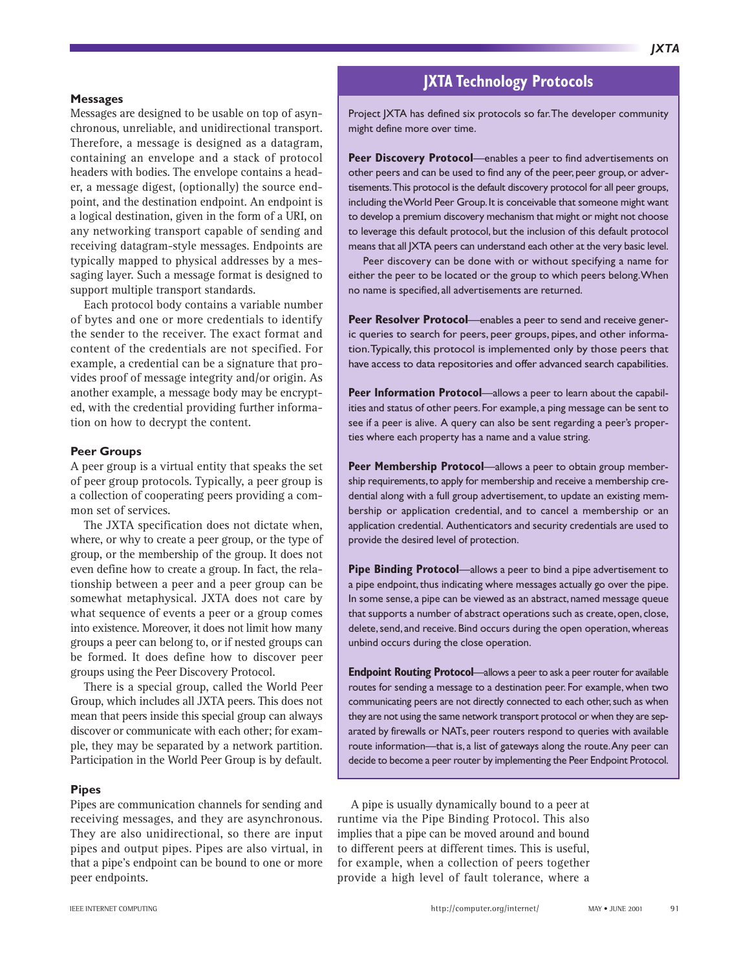#### **Messages**

Messages are designed to be usable on top of asynchronous, unreliable, and unidirectional transport. Therefore, a message is designed as a datagram, containing an envelope and a stack of protocol headers with bodies. The envelope contains a header, a message digest, (optionally) the source endpoint, and the destination endpoint. An endpoint is a logical destination, given in the form of a URI, on any networking transport capable of sending and receiving datagram-style messages. Endpoints are typically mapped to physical addresses by a messaging layer. Such a message format is designed to support multiple transport standards.

Each protocol body contains a variable number of bytes and one or more credentials to identify the sender to the receiver. The exact format and content of the credentials are not specified. For example, a credential can be a signature that provides proof of message integrity and/or origin. As another example, a message body may be encrypted, with the credential providing further information on how to decrypt the content.

#### **Peer Groups**

A peer group is a virtual entity that speaks the set of peer group protocols. Typically, a peer group is a collection of cooperating peers providing a common set of services.

The JXTA specification does not dictate when, where, or why to create a peer group, or the type of group, or the membership of the group. It does not even define how to create a group. In fact, the relationship between a peer and a peer group can be somewhat metaphysical. JXTA does not care by what sequence of events a peer or a group comes into existence. Moreover, it does not limit how many groups a peer can belong to, or if nested groups can be formed. It does define how to discover peer groups using the Peer Discovery Protocol.

There is a special group, called the World Peer Group, which includes all JXTA peers. This does not mean that peers inside this special group can always discover or communicate with each other; for example, they may be separated by a network partition. Participation in the World Peer Group is by default.

#### **Pipes**

Pipes are communication channels for sending and receiving messages, and they are asynchronous. They are also unidirectional, so there are input pipes and output pipes. Pipes are also virtual, in that a pipe's endpoint can be bound to one or more peer endpoints.

# **JXTA Technology Protocols**

Project JXTA has defined six protocols so far.The developer community might define more over time.

**Peer Discovery Protocol**—enables a peer to find advertisements on other peers and can be used to find any of the peer, peer group, or advertisements.This protocol is the default discovery protocol for all peer groups, including the World Peer Group. It is conceivable that someone might want to develop a premium discovery mechanism that might or might not choose to leverage this default protocol, but the inclusion of this default protocol means that all JXTA peers can understand each other at the very basic level.

Peer discovery can be done with or without specifying a name for either the peer to be located or the group to which peers belong.When no name is specified, all advertisements are returned.

**Peer Resolver Protocol**—enables a peer to send and receive generic queries to search for peers, peer groups, pipes, and other information.Typically, this protocol is implemented only by those peers that have access to data repositories and offer advanced search capabilities.

**Peer Information Protocol**—allows a peer to learn about the capabilities and status of other peers. For example, a ping message can be sent to see if a peer is alive. A query can also be sent regarding a peer's properties where each property has a name and a value string.

**Peer Membership Protocol**—allows a peer to obtain group membership requirements, to apply for membership and receive a membership credential along with a full group advertisement, to update an existing membership or application credential, and to cancel a membership or an application credential. Authenticators and security credentials are used to provide the desired level of protection.

**Pipe Binding Protocol**—allows a peer to bind a pipe advertisement to a pipe endpoint, thus indicating where messages actually go over the pipe. In some sense, a pipe can be viewed as an abstract, named message queue that supports a number of abstract operations such as create, open, close, delete, send, and receive. Bind occurs during the open operation, whereas unbind occurs during the close operation.

**Endpoint Routing Protocol**—allows a peer to ask a peer router for available routes for sending a message to a destination peer. For example, when two communicating peers are not directly connected to each other, such as when they are not using the same network transport protocol or when they are separated by firewalls or NATs, peer routers respond to queries with available route information—that is, a list of gateways along the route.Any peer can decide to become a peer router by implementing the Peer Endpoint Protocol.

A pipe is usually dynamically bound to a peer at runtime via the Pipe Binding Protocol. This also implies that a pipe can be moved around and bound to different peers at different times. This is useful, for example, when a collection of peers together provide a high level of fault tolerance, where a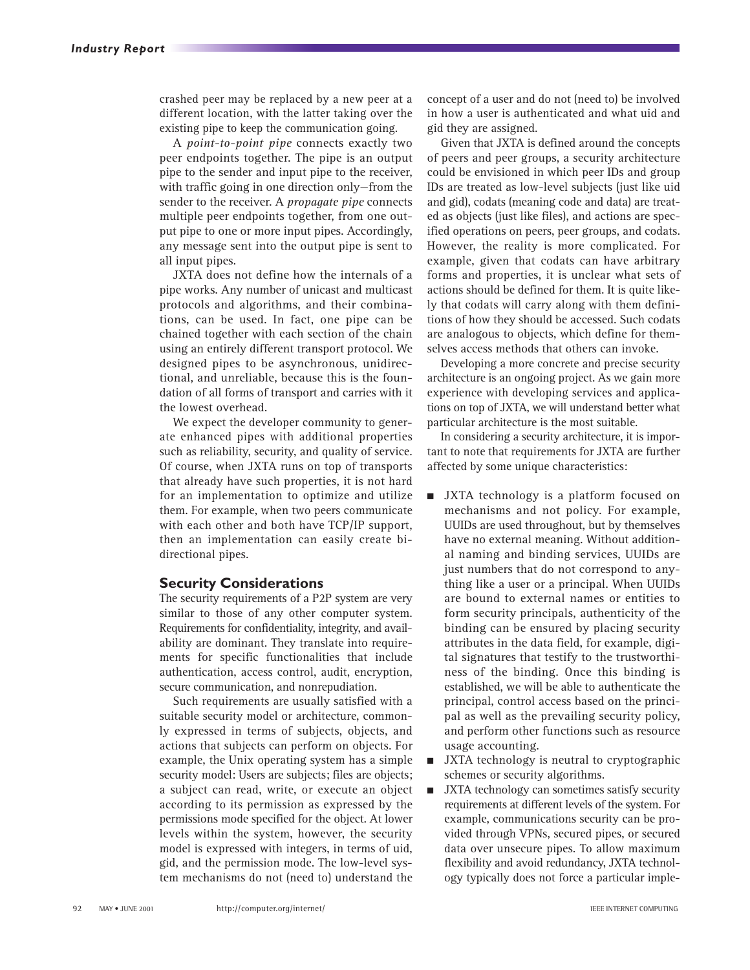crashed peer may be replaced by a new peer at a different location, with the latter taking over the existing pipe to keep the communication going.

A *point-to-point pipe* connects exactly two peer endpoints together. The pipe is an output pipe to the sender and input pipe to the receiver, with traffic going in one direction only—from the sender to the receiver. A *propagate pipe* connects multiple peer endpoints together, from one output pipe to one or more input pipes. Accordingly, any message sent into the output pipe is sent to all input pipes.

JXTA does not define how the internals of a pipe works. Any number of unicast and multicast protocols and algorithms, and their combinations, can be used. In fact, one pipe can be chained together with each section of the chain using an entirely different transport protocol. We designed pipes to be asynchronous, unidirectional, and unreliable, because this is the foundation of all forms of transport and carries with it the lowest overhead.

We expect the developer community to generate enhanced pipes with additional properties such as reliability, security, and quality of service. Of course, when JXTA runs on top of transports that already have such properties, it is not hard for an implementation to optimize and utilize them. For example, when two peers communicate with each other and both have TCP/IP support, then an implementation can easily create bidirectional pipes.

# **Security Considerations**

The security requirements of a P2P system are very similar to those of any other computer system. Requirements for confidentiality, integrity, and availability are dominant. They translate into requirements for specific functionalities that include authentication, access control, audit, encryption, secure communication, and nonrepudiation.

Such requirements are usually satisfied with a suitable security model or architecture, commonly expressed in terms of subjects, objects, and actions that subjects can perform on objects. For example, the Unix operating system has a simple security model: Users are subjects; files are objects; a subject can read, write, or execute an object according to its permission as expressed by the permissions mode specified for the object. At lower levels within the system, however, the security model is expressed with integers, in terms of uid, gid, and the permission mode. The low-level system mechanisms do not (need to) understand the

concept of a user and do not (need to) be involved in how a user is authenticated and what uid and gid they are assigned.

Given that JXTA is defined around the concepts of peers and peer groups, a security architecture could be envisioned in which peer IDs and group IDs are treated as low-level subjects (just like uid and gid), codats (meaning code and data) are treated as objects (just like files), and actions are specified operations on peers, peer groups, and codats. However, the reality is more complicated. For example, given that codats can have arbitrary forms and properties, it is unclear what sets of actions should be defined for them. It is quite likely that codats will carry along with them definitions of how they should be accessed. Such codats are analogous to objects, which define for themselves access methods that others can invoke.

Developing a more concrete and precise security architecture is an ongoing project. As we gain more experience with developing services and applications on top of JXTA, we will understand better what particular architecture is the most suitable.

In considering a security architecture, it is important to note that requirements for JXTA are further affected by some unique characteristics:

- JXTA technology is a platform focused on mechanisms and not policy. For example, UUIDs are used throughout, but by themselves have no external meaning. Without additional naming and binding services, UUIDs are just numbers that do not correspond to anything like a user or a principal. When UUIDs are bound to external names or entities to form security principals, authenticity of the binding can be ensured by placing security attributes in the data field, for example, digital signatures that testify to the trustworthiness of the binding. Once this binding is established, we will be able to authenticate the principal, control access based on the principal as well as the prevailing security policy, and perform other functions such as resource usage accounting.
- JXTA technology is neutral to cryptographic schemes or security algorithms.
- JXTA technology can sometimes satisfy security requirements at different levels of the system. For example, communications security can be provided through VPNs, secured pipes, or secured data over unsecure pipes. To allow maximum flexibility and avoid redundancy, JXTA technology typically does not force a particular imple-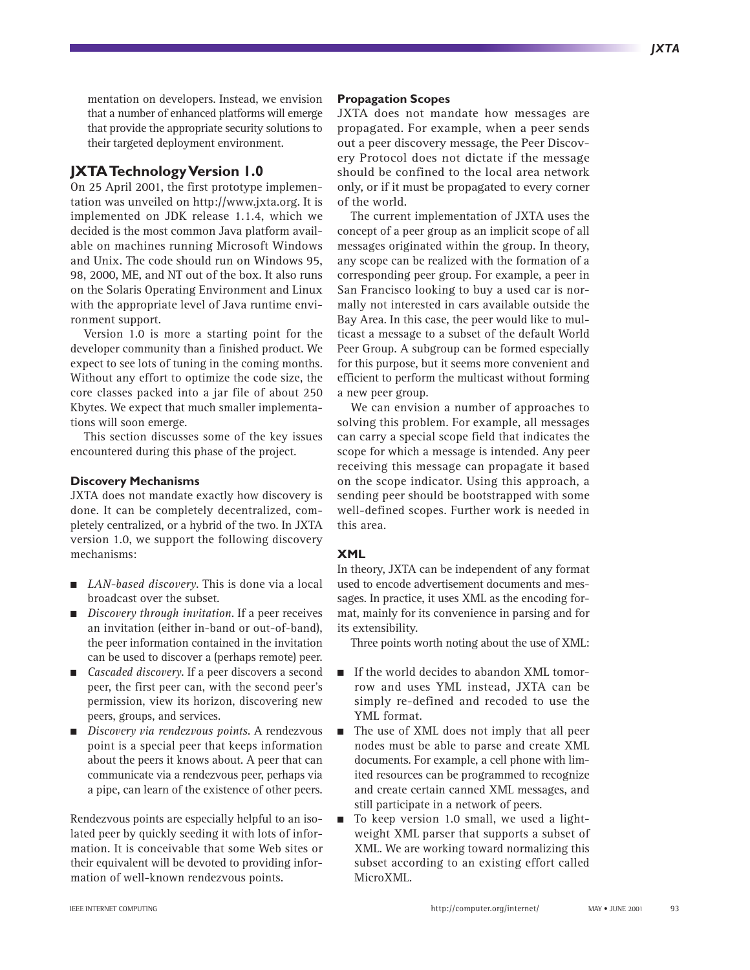mentation on developers. Instead, we envision that a number of enhanced platforms will emerge that provide the appropriate security solutions to their targeted deployment environment.

# **JXTA Technology Version 1.0**

On 25 April 2001, the first prototype implementation was unveiled on http://www.jxta.org. It is implemented on JDK release 1.1.4, which we decided is the most common Java platform available on machines running Microsoft Windows and Unix. The code should run on Windows 95, 98, 2000, ME, and NT out of the box. It also runs on the Solaris Operating Environment and Linux with the appropriate level of Java runtime environment support.

Version 1.0 is more a starting point for the developer community than a finished product. We expect to see lots of tuning in the coming months. Without any effort to optimize the code size, the core classes packed into a jar file of about 250 Kbytes. We expect that much smaller implementations will soon emerge.

This section discusses some of the key issues encountered during this phase of the project.

# **Discovery Mechanisms**

JXTA does not mandate exactly how discovery is done. It can be completely decentralized, completely centralized, or a hybrid of the two. In JXTA version 1.0, we support the following discovery mechanisms:

- *LAN-based discovery*. This is done via a local broadcast over the subset.
- *Discovery through invitation*. If a peer receives an invitation (either in-band or out-of-band), the peer information contained in the invitation can be used to discover a (perhaps remote) peer.
- *Cascaded discovery*. If a peer discovers a second peer, the first peer can, with the second peer's permission, view its horizon, discovering new peers, groups, and services.
- *Discovery via rendezvous points*. A rendezvous point is a special peer that keeps information about the peers it knows about. A peer that can communicate via a rendezvous peer, perhaps via a pipe, can learn of the existence of other peers.

Rendezvous points are especially helpful to an isolated peer by quickly seeding it with lots of information. It is conceivable that some Web sites or their equivalent will be devoted to providing information of well-known rendezvous points.

#### **Propagation Scopes**

JXTA does not mandate how messages are propagated. For example, when a peer sends out a peer discovery message, the Peer Discovery Protocol does not dictate if the message should be confined to the local area network only, or if it must be propagated to every corner of the world.

The current implementation of JXTA uses the concept of a peer group as an implicit scope of all messages originated within the group. In theory, any scope can be realized with the formation of a corresponding peer group. For example, a peer in San Francisco looking to buy a used car is normally not interested in cars available outside the Bay Area. In this case, the peer would like to multicast a message to a subset of the default World Peer Group. A subgroup can be formed especially for this purpose, but it seems more convenient and efficient to perform the multicast without forming a new peer group.

We can envision a number of approaches to solving this problem. For example, all messages can carry a special scope field that indicates the scope for which a message is intended. Any peer receiving this message can propagate it based on the scope indicator. Using this approach, a sending peer should be bootstrapped with some well-defined scopes. Further work is needed in this area.

# **XML**

In theory, JXTA can be independent of any format used to encode advertisement documents and messages. In practice, it uses XML as the encoding format, mainly for its convenience in parsing and for its extensibility.

Three points worth noting about the use of XML:

- If the world decides to abandon XML tomorrow and uses YML instead, JXTA can be simply re-defined and recoded to use the YML format.
- The use of XML does not imply that all peer nodes must be able to parse and create XML documents. For example, a cell phone with limited resources can be programmed to recognize and create certain canned XML messages, and still participate in a network of peers.
- To keep version 1.0 small, we used a lightweight XML parser that supports a subset of XML. We are working toward normalizing this subset according to an existing effort called MicroXML.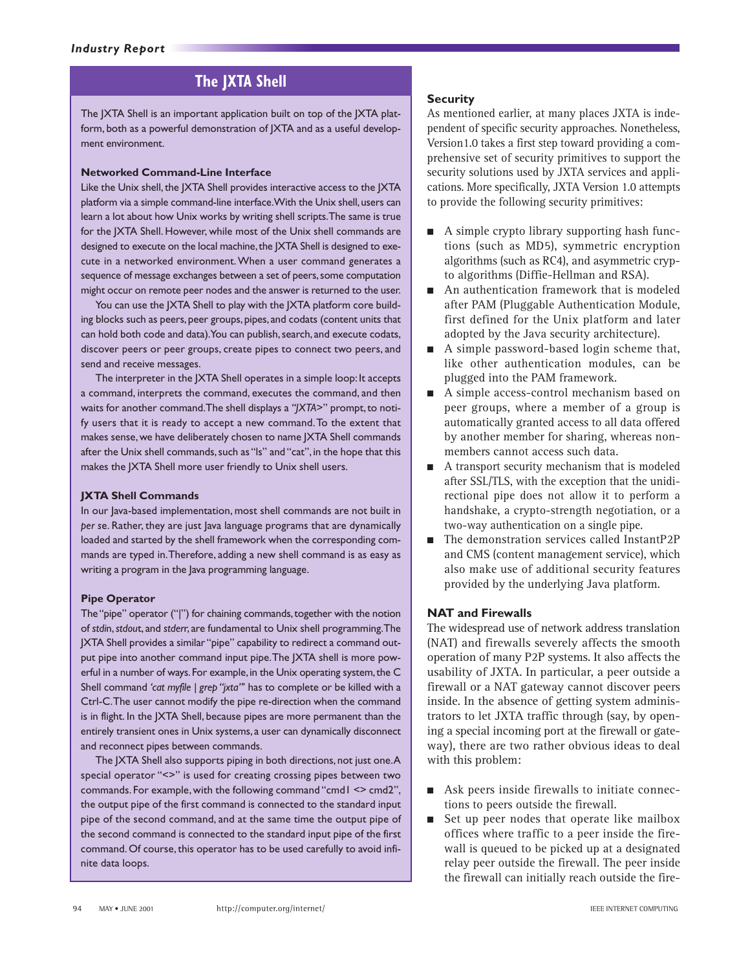# **The JXTA Shell**

The JXTA Shell is an important application built on top of the JXTA platform, both as a powerful demonstration of JXTA and as a useful development environment.

#### **Networked Command-Line Interface**

Like the Unix shell, the JXTA Shell provides interactive access to the JXTA platform via a simple command-line interface. With the Unix shell, users can learn a lot about how Unix works by writing shell scripts.The same is true for the JXTA Shell. However, while most of the Unix shell commands are designed to execute on the local machine, the JXTA Shell is designed to execute in a networked environment.When a user command generates a sequence of message exchanges between a set of peers, some computation might occur on remote peer nodes and the answer is returned to the user.

You can use the JXTA Shell to play with the JXTA platform core building blocks such as peers, peer groups, pipes, and codats (content units that can hold both code and data).You can publish,search,and execute codats, discover peers or peer groups, create pipes to connect two peers, and send and receive messages.

The interpreter in the JXTA Shell operates in a simple loop: It accepts a command, interprets the command, executes the command, and then waits for another command. The shell displays a "JXTA>" prompt, to notify users that it is ready to accept a new command.To the extent that makes sense,we have deliberately chosen to name JXTA Shell commands after the Unix shell commands, such as "ls" and "cat", in the hope that this makes the JXTA Shell more user friendly to Unix shell users.

# **JXTA Shell Commands**

In our Java-based implementation, most shell commands are not built in *per s*e. Rather, they are just Java language programs that are dynamically loaded and started by the shell framework when the corresponding commands are typed in.Therefore, adding a new shell command is as easy as writing a program in the Java programming language.

# **Pipe Operator**

The "pipe" operator ("|") for chaining commands, together with the notion of *stdi*n,*stdou*t, and *stder*r, are fundamental to Unix shell programming.The JXTA Shell provides a similar "pipe" capability to redirect a command output pipe into another command input pipe.The JXTA shell is more powerful in a number of ways. For example, in the Unix operating system, the C Shell command *'cat myfile | grep "jxta"*' has to complete or be killed with a Ctrl-C.The user cannot modify the pipe re-direction when the command is in flight. In the JXTA Shell, because pipes are more permanent than the entirely transient ones in Unix systems, a user can dynamically disconnect and reconnect pipes between commands.

The JXTA Shell also supports piping in both directions, not just one.A special operator "<>" is used for creating crossing pipes between two commands. For example, with the following command "cmd1 <> cmd2", the output pipe of the first command is connected to the standard input pipe of the second command, and at the same time the output pipe of the second command is connected to the standard input pipe of the first command. Of course, this operator has to be used carefully to avoid infinite data loops.

# **Security**

As mentioned earlier, at many places JXTA is independent of specific security approaches. Nonetheless, Version1.0 takes a first step toward providing a comprehensive set of security primitives to support the security solutions used by JXTA services and applications. More specifically, JXTA Version 1.0 attempts to provide the following security primitives:

- A simple crypto library supporting hash functions (such as MD5), symmetric encryption algorithms (such as RC4), and asymmetric crypto algorithms (Diffie-Hellman and RSA).
- An authentication framework that is modeled after PAM (Pluggable Authentication Module, first defined for the Unix platform and later adopted by the Java security architecture).
- A simple password-based login scheme that, like other authentication modules, can be plugged into the PAM framework.
- A simple access-control mechanism based on peer groups, where a member of a group is automatically granted access to all data offered by another member for sharing, whereas nonmembers cannot access such data.
- A transport security mechanism that is modeled after SSL/TLS, with the exception that the unidirectional pipe does not allow it to perform a handshake, a crypto-strength negotiation, or a two-way authentication on a single pipe.
- The demonstration services called InstantP2P and CMS (content management service), which also make use of additional security features provided by the underlying Java platform.

# **NAT and Firewalls**

The widespread use of network address translation (NAT) and firewalls severely affects the smooth operation of many P2P systems. It also affects the usability of JXTA. In particular, a peer outside a firewall or a NAT gateway cannot discover peers inside. In the absence of getting system administrators to let JXTA traffic through (say, by opening a special incoming port at the firewall or gateway), there are two rather obvious ideas to deal with this problem:

- Ask peers inside firewalls to initiate connections to peers outside the firewall.
- Set up peer nodes that operate like mailbox offices where traffic to a peer inside the firewall is queued to be picked up at a designated relay peer outside the firewall. The peer inside the firewall can initially reach outside the fire-